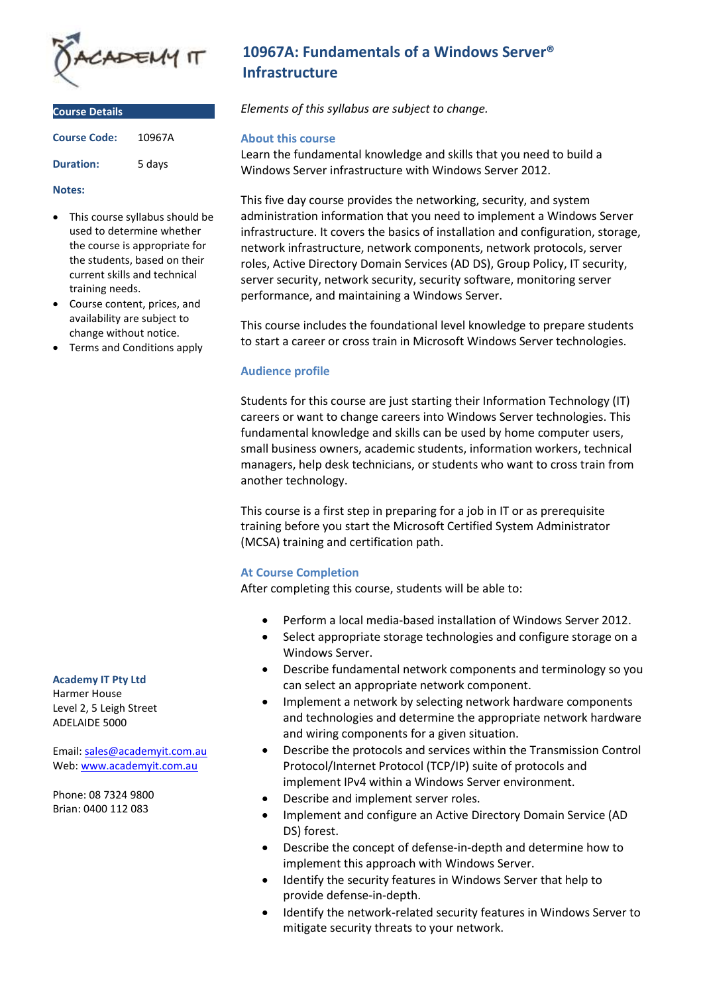

| <b>Course Details</b> |        |
|-----------------------|--------|
| <b>Course Code:</b>   | 10967A |
| <b>Duration:</b>      | 5 days |

#### **Notes:**

- This course syllabus should be used to determine whether the course is appropriate for the students, based on their current skills and technical training needs.
- Course content, prices, and availability are subject to change without notice.
- Terms and Conditions apply

# **Academy IT Pty Ltd**

Harmer House Level 2, 5 Leigh Street ADELAIDE 5000

Email: [sales@academyit.com.au](mailto:sales@academyit.com.au) Web[: www.academyit.com.au](http://www.academyit.com.au/)

Phone: 08 7324 9800 Brian: 0400 112 083

# **10967A: Fundamentals of a Windows Server® Infrastructure**

*Elements of this syllabus are subject to change.*

### **About this course**

Learn the fundamental knowledge and skills that you need to build a Windows Server infrastructure with Windows Server 2012.

This five day course provides the networking, security, and system administration information that you need to implement a Windows Server infrastructure. It covers the basics of installation and configuration, storage, network infrastructure, network components, network protocols, server roles, Active Directory Domain Services (AD DS), Group Policy, IT security, server security, network security, security software, monitoring server performance, and maintaining a Windows Server.

This course includes the foundational level knowledge to prepare students to start a career or cross train in Microsoft Windows Server technologies.

## **Audience profile**

Students for this course are just starting their Information Technology (IT) careers or want to change careers into Windows Server technologies. This fundamental knowledge and skills can be used by home computer users, small business owners, academic students, information workers, technical managers, help desk technicians, or students who want to cross train from another technology.

This course is a first step in preparing for a job in IT or as prerequisite training before you start the Microsoft Certified System Administrator (MCSA) training and certification path.

### **At Course Completion**

After completing this course, students will be able to:

- Perform a local media-based installation of Windows Server 2012.
- Select appropriate storage technologies and configure storage on a Windows Server.
- Describe fundamental network components and terminology so you can select an appropriate network component.
- Implement a network by selecting network hardware components and technologies and determine the appropriate network hardware and wiring components for a given situation.
- Describe the protocols and services within the Transmission Control Protocol/Internet Protocol (TCP/IP) suite of protocols and implement IPv4 within a Windows Server environment.
- Describe and implement server roles.
- Implement and configure an Active Directory Domain Service (AD DS) forest.
- Describe the concept of defense-in-depth and determine how to implement this approach with Windows Server.
- Identify the security features in Windows Server that help to provide defense-in-depth.
- Identify the network-related security features in Windows Server to mitigate security threats to your network.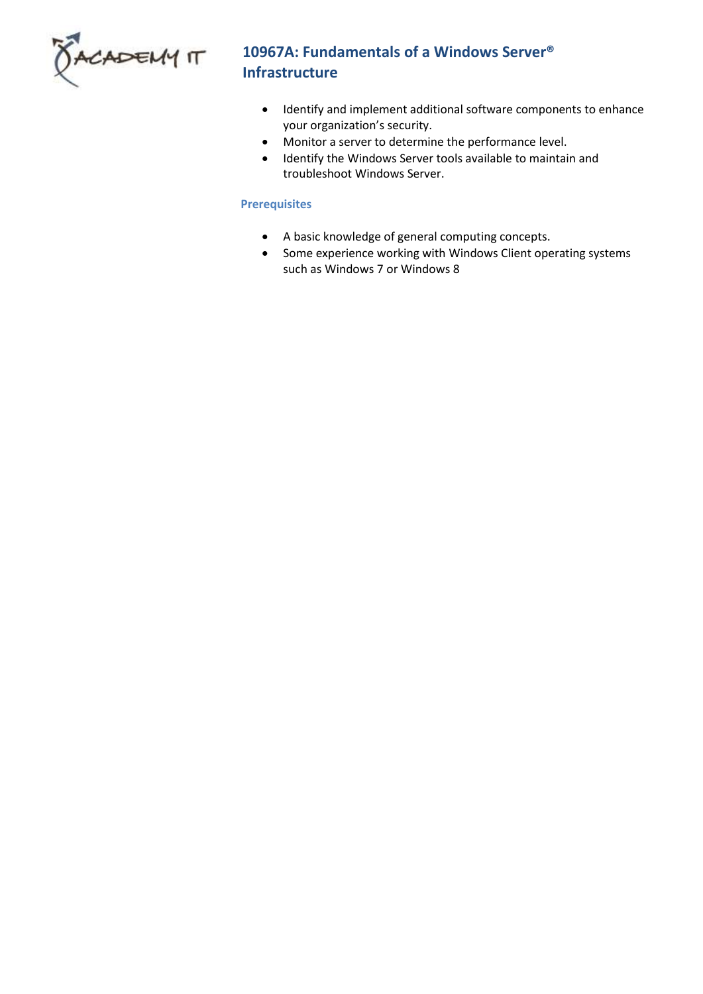

# **10967A: Fundamentals of a Windows Server® Infrastructure**

- Identify and implement additional software components to enhance your organization's security.
- Monitor a server to determine the performance level.
- Identify the Windows Server tools available to maintain and troubleshoot Windows Server.

# **Prerequisites**

- A basic knowledge of general computing concepts.
- Some experience working with Windows Client operating systems such as Windows 7 or Windows 8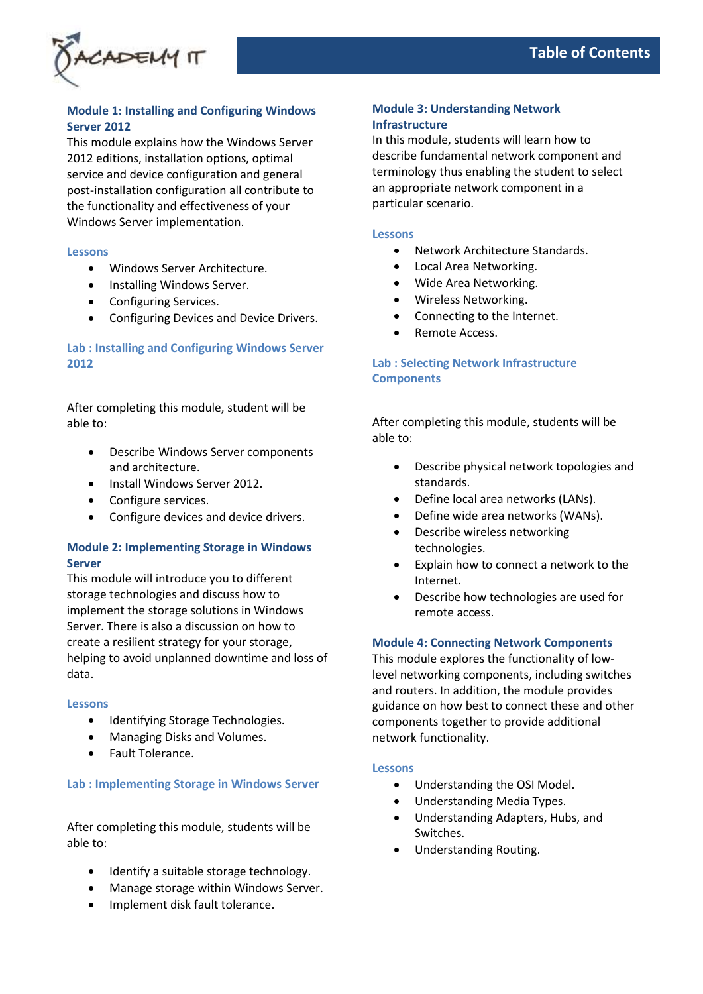

# **Module 1: Installing and Configuring Windows Server 2012**

This module explains how the Windows Server 2012 editions, installation options, optimal service and device configuration and general post-installation configuration all contribute to the functionality and effectiveness of your Windows Server implementation.

#### **Lessons**

- Windows Server Architecture.
- Installing Windows Server.
- Configuring Services.
- Configuring Devices and Device Drivers.

# **Lab : Installing and Configuring Windows Server 2012**

After completing this module, student will be able to:

- Describe Windows Server components and architecture.
- Install Windows Server 2012.
- Configure services.
- Configure devices and device drivers.

# **Module 2: Implementing Storage in Windows Server**

This module will introduce you to different storage technologies and discuss how to implement the storage solutions in Windows Server. There is also a discussion on how to create a resilient strategy for your storage, helping to avoid unplanned downtime and loss of data.

### **Lessons**

- Identifying Storage Technologies.
- Managing Disks and Volumes.
- Fault Tolerance.

### **Lab : Implementing Storage in Windows Server**

After completing this module, students will be able to:

- Identify a suitable storage technology.
- Manage storage within Windows Server.
- Implement disk fault tolerance.

# **Module 3: Understanding Network Infrastructure**

In this module, students will learn how to describe fundamental network component and terminology thus enabling the student to select an appropriate network component in a particular scenario.

#### **Lessons**

- Network Architecture Standards.
- Local Area Networking.
- Wide Area Networking.
- Wireless Networking.
- Connecting to the Internet.
- Remote Access.

# **Lab : Selecting Network Infrastructure Components**

After completing this module, students will be able to:

- Describe physical network topologies and standards.
- Define local area networks (LANs).
- Define wide area networks (WANs).
- Describe wireless networking technologies.
- Explain how to connect a network to the Internet.
- Describe how technologies are used for remote access.

# **Module 4: Connecting Network Components**

This module explores the functionality of lowlevel networking components, including switches and routers. In addition, the module provides guidance on how best to connect these and other components together to provide additional network functionality.

### **Lessons**

- Understanding the OSI Model.
- Understanding Media Types.
- Understanding Adapters, Hubs, and Switches.
- Understanding Routing.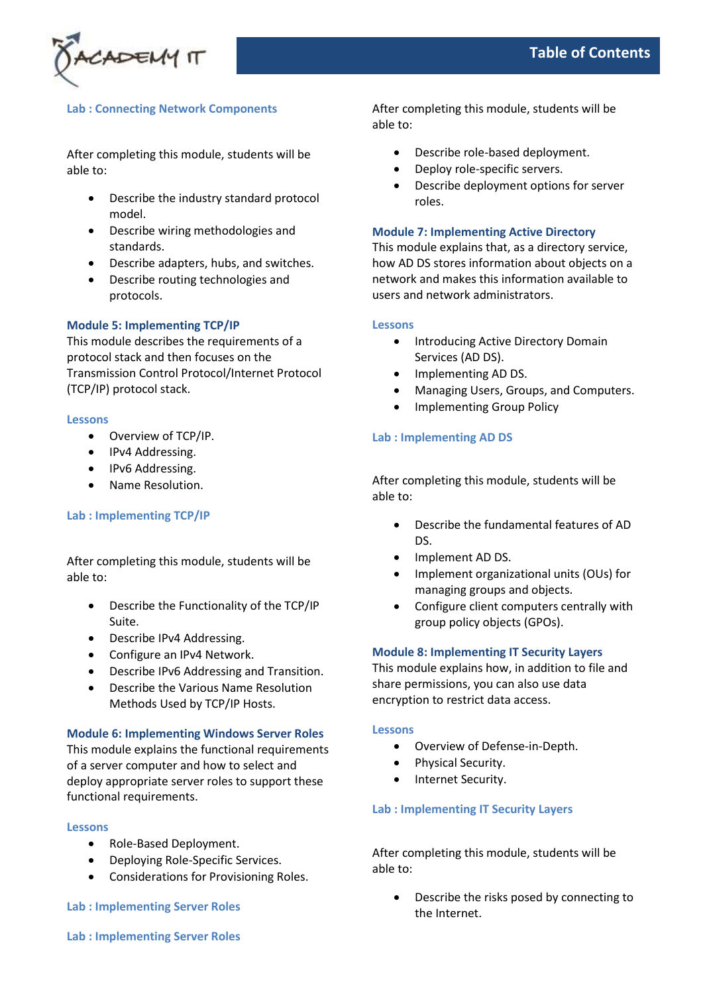

# **Lab : Connecting Network Components**

After completing this module, students will be able to:

- Describe the industry standard protocol model.
- Describe wiring methodologies and standards.
- Describe adapters, hubs, and switches.
- Describe routing technologies and protocols.

## **Module 5: Implementing TCP/IP**

This module describes the requirements of a protocol stack and then focuses on the Transmission Control Protocol/Internet Protocol (TCP/IP) protocol stack.

#### **Lessons**

- Overview of TCP/IP.
- IPv4 Addressing.
- IPv6 Addressing.
- Name Resolution.

# **Lab : Implementing TCP/IP**

After completing this module, students will be able to:

- Describe the Functionality of the TCP/IP Suite.
- Describe IPv4 Addressing.
- Configure an IPv4 Network.
- Describe IPv6 Addressing and Transition.
- Describe the Various Name Resolution Methods Used by TCP/IP Hosts.

### **Module 6: Implementing Windows Server Roles**

This module explains the functional requirements of a server computer and how to select and deploy appropriate server roles to support these functional requirements.

### **Lessons**

- Role-Based Deployment.
- Deploying Role-Specific Services.
- Considerations for Provisioning Roles.

**Lab : Implementing Server Roles**

After completing this module, students will be able to:

- Describe role-based deployment.
- Deploy role-specific servers.
- Describe deployment options for server roles.

## **Module 7: Implementing Active Directory**

This module explains that, as a directory service, how AD DS stores information about objects on a network and makes this information available to users and network administrators.

### **Lessons**

- Introducing Active Directory Domain Services (AD DS).
- Implementing AD DS.
- Managing Users, Groups, and Computers.
- Implementing Group Policy

## **Lab : Implementing AD DS**

After completing this module, students will be able to:

- Describe the fundamental features of AD DS.
- Implement AD DS.
- Implement organizational units (OUs) for managing groups and objects.
- Configure client computers centrally with group policy objects (GPOs).

### **Module 8: Implementing IT Security Layers**

This module explains how, in addition to file and share permissions, you can also use data encryption to restrict data access.

### **Lessons**

- Overview of Defense-in-Depth.
- Physical Security.
- Internet Security.

### **Lab : Implementing IT Security Layers**

After completing this module, students will be able to:

• Describe the risks posed by connecting to the Internet.

**Lab : Implementing Server Roles**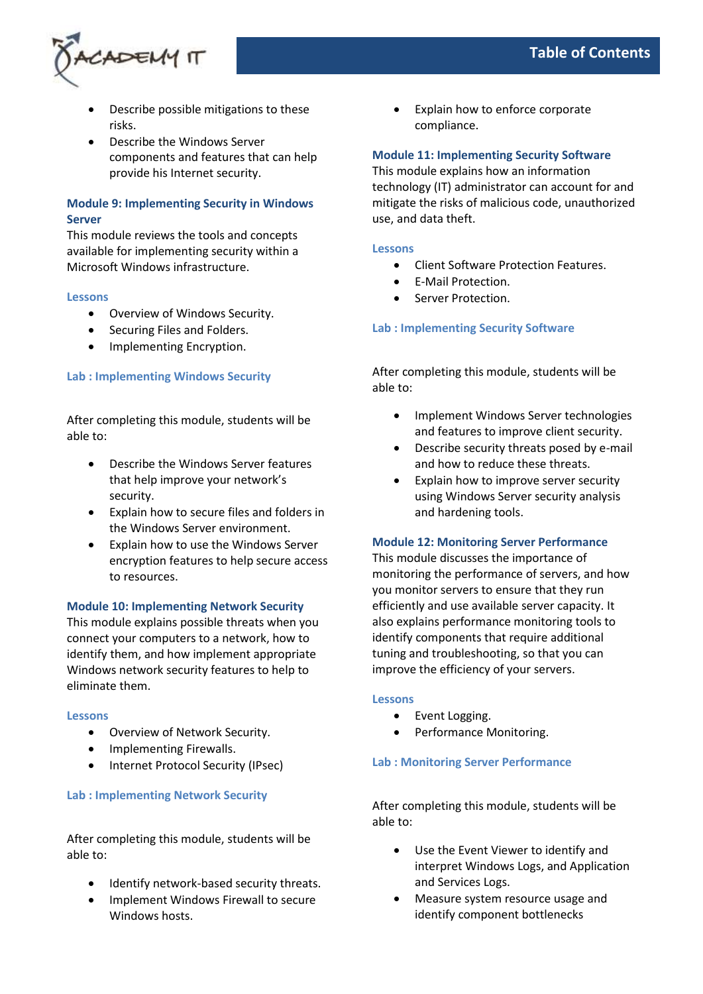

- Describe possible mitigations to these risks.
- Describe the Windows Server components and features that can help provide his Internet security.

# **Module 9: Implementing Security in Windows Server**

This module reviews the tools and concepts available for implementing security within a Microsoft Windows infrastructure.

## **Lessons**

- Overview of Windows Security.
- Securing Files and Folders.
- Implementing Encryption.

# **Lab : Implementing Windows Security**

After completing this module, students will be able to:

- Describe the Windows Server features that help improve your network's security.
- Explain how to secure files and folders in the Windows Server environment.
- Explain how to use the Windows Server encryption features to help secure access to resources.

# **Module 10: Implementing Network Security**

This module explains possible threats when you connect your computers to a network, how to identify them, and how implement appropriate Windows network security features to help to eliminate them.

### **Lessons**

- Overview of Network Security.
- Implementing Firewalls.
- Internet Protocol Security (IPsec)

# **Lab : Implementing Network Security**

After completing this module, students will be able to:

- Identify network-based security threats.
- Implement Windows Firewall to secure Windows hosts.

Explain how to enforce corporate compliance.

# **Module 11: Implementing Security Software**

This module explains how an information technology (IT) administrator can account for and mitigate the risks of malicious code, unauthorized use, and data theft.

## **Lessons**

- Client Software Protection Features.
- E-Mail Protection.
- Server Protection.

# **Lab : Implementing Security Software**

After completing this module, students will be able to:

- Implement Windows Server technologies and features to improve client security.
- Describe security threats posed by e-mail and how to reduce these threats.
- Explain how to improve server security using Windows Server security analysis and hardening tools.

# **Module 12: Monitoring Server Performance**

This module discusses the importance of monitoring the performance of servers, and how you monitor servers to ensure that they run efficiently and use available server capacity. It also explains performance monitoring tools to identify components that require additional tuning and troubleshooting, so that you can improve the efficiency of your servers.

### **Lessons**

- Event Logging.
- Performance Monitoring.

# **Lab : Monitoring Server Performance**

After completing this module, students will be able to:

- Use the Event Viewer to identify and interpret Windows Logs, and Application and Services Logs.
- Measure system resource usage and identify component bottlenecks